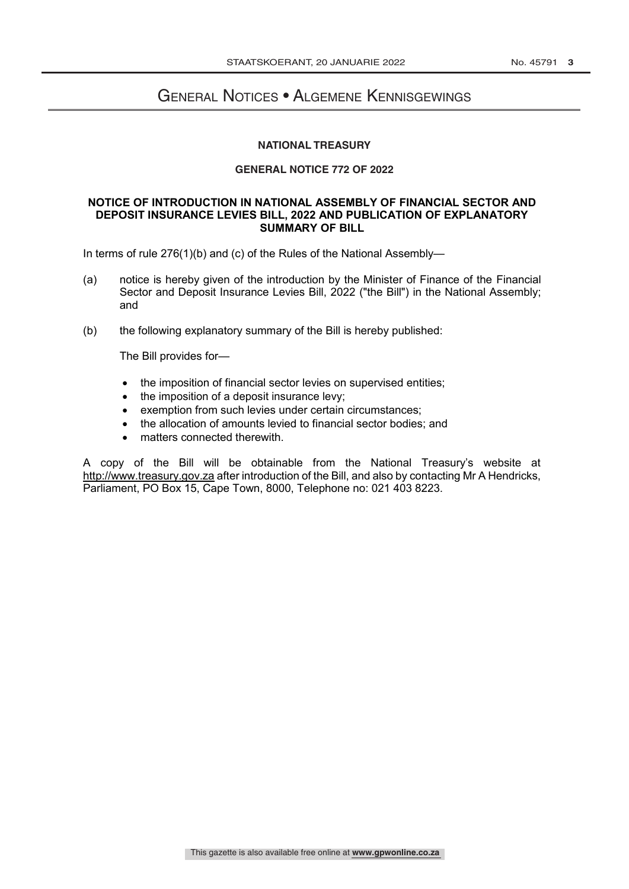### General Notices • Algemene Kennisgewings **GENERAL NOTICE**

# **NATIONAL TREASURY NATIONAL TREASURY**

## **GENERAL NOTICE 772 OF 2022**

#### **NOTICE OF INTRODUCTION IN NATIONAL ASSEMBLY OF FINANCIAL SECTOR AND DEPOSIT INSURANCE LEVIES BILL, 2022 AND PUBLICATION OF EXPLANATORY SUMMARY OF BILL**

In terms of rule 276(1)(b) and (c) of the Rules of the National Assembly—

- (a) notice is hereby given of the introduction by the Minister of Finance of the Financial Sector and Deposit Insurance Levies Bill, 2022 ("the Bill") in the National Assembly; and
- (b) the following explanatory summary of the Bill is hereby published:

The Bill provides for—

- the imposition of financial sector levies on supervised entities;
- the imposition of a deposit insurance levy;
- exemption from such levies under certain circumstances;
- the allocation of amounts levied to financial sector bodies; and
- matters connected therewith.

A copy of the Bill will be obtainable from the National Treasury's website at http://www.treasury.gov.za after introduction of the Bill, and also by contacting Mr A Hendricks, Parliament, PO Box 15, Cape Town, 8000, Telephone no: 021 403 8223.